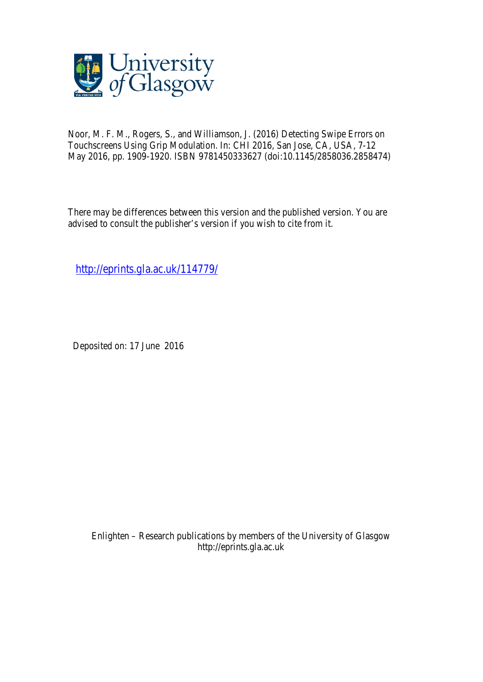

Noor, M. F. M., Rogers, S., and Williamson, J. (2016) Detecting Swipe Errors on Touchscreens Using Grip Modulation. In: CHI 2016, San Jose, CA, USA, 7-12 May 2016, pp. 1909-1920. ISBN 9781450333627 (doi:10.1145/2858036.2858474)

There may be differences between this version and the published version. You are advised to consult the publisher's version if you wish to cite from it.

http://eprints.gla.ac.uk/114779/

Deposited on: 17 June 2016

Enlighten – Research publications by members of the University of Glasgow http://eprints.gla.ac.uk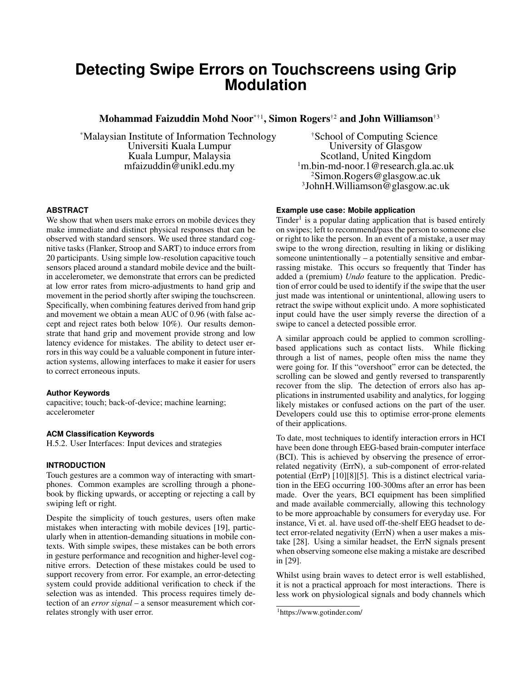# **Detecting Swipe Errors on Touchscreens using Grip Modulation**

Mohammad Faizuddin Mohd Noor\*†1, Simon Rogers†2 and John Williamson†3

\*Malaysian Institute of Information Technology †School of Computing Science Universiti Kuala Lumpur<br>Kuala Lumpur, Malaysia Kuala Lumpur, Malaysia<br>
mfaizuddin@unikl.edu.my https://im.bin-md-noor.1@research.gla.

### **ABSTRACT**

We show that when users make errors on mobile devices they make immediate and distinct physical responses that can be observed with standard sensors. We used three standard cognitive tasks (Flanker, Stroop and SART) to induce errors from 20 participants. Using simple low-resolution capacitive touch sensors placed around a standard mobile device and the builtin accelerometer, we demonstrate that errors can be predicted at low error rates from micro-adjustments to hand grip and movement in the period shortly after swiping the touchscreen. Specifically, when combining features derived from hand grip and movement we obtain a mean AUC of 0.96 (with false accept and reject rates both below 10%). Our results demonstrate that hand grip and movement provide strong and low latency evidence for mistakes. The ability to detect user errors in this way could be a valuable component in future interaction systems, allowing interfaces to make it easier for users to correct erroneous inputs.

#### **Author Keywords**

capacitive; touch; back-of-device; machine learning; accelerometer

#### **ACM Classification Keywords**

H.5.2. User Interfaces: Input devices and strategies

#### **INTRODUCTION**

Touch gestures are a common way of interacting with smartphones. Common examples are scrolling through a phonebook by flicking upwards, or accepting or rejecting a call by swiping left or right.

Despite the simplicity of touch gestures, users often make mistakes when interacting with mobile devices [\[19\]](#page-11-0), particularly when in attention-demanding situations in mobile contexts. With simple swipes, these mistakes can be both errors in gesture performance and recognition and higher-level cognitive errors. Detection of these mistakes could be used to support recovery from error. For example, an error-detecting system could provide additional verification to check if the selection was as intended. This process requires timely detection of an *error signal* – a sensor measurement which correlates strongly with user error.

## **Example use case: Mobile application**

Tinder<sup>[1](#page-1-0)</sup> is a popular dating application that is based entirely on swipes; left to recommend/pass the person to someone else or right to like the person. In an event of a mistake, a user may swipe to the wrong direction, resulting in liking or disliking someone unintentionally – a potentially sensitive and embarrassing mistake. This occurs so frequently that Tinder has added a (premium) *Undo* feature to the application. Prediction of error could be used to identify if the swipe that the user just made was intentional or unintentional, allowing users to retract the swipe without explicit undo. A more sophisticated input could have the user simply reverse the direction of a swipe to cancel a detected possible error.

 $\lim$ -lm.bin-md-noor.1@research.gla.ac.uk <sup>2</sup>Simon.Rogers@glasgow.ac.uk 3 JohnH.Williamson@glasgow.ac.uk

A similar approach could be applied to common scrollingbased applications such as contact lists. While flicking through a list of names, people often miss the name they were going for. If this "overshoot" error can be detected, the scrolling can be slowed and gently reversed to transparently recover from the slip. The detection of errors also has applications in instrumented usability and analytics, for logging likely mistakes or confused actions on the part of the user. Developers could use this to optimise error-prone elements of their applications.

To date, most techniques to identify interaction errors in HCI have been done through EEG-based brain-computer interface (BCI). This is achieved by observing the presence of errorrelated negativity (ErrN), a sub-component of error-related potential (ErrP) [\[10\]](#page-11-1)[\[8\]](#page-11-2)[\[5\]](#page-11-3). This is a distinct electrical variation in the EEG occurring 100-300ms after an error has been made. Over the years, BCI equipment has been simplified and made available commercially, allowing this technology to be more approachable by consumers for everyday use. For instance, Vi et. al. have used off-the-shelf EEG headset to detect error-related negativity (ErrN) when a user makes a mistake [\[28\]](#page-12-0). Using a similar headset, the ErrN signals present when observing someone else making a mistake are described in [\[29\]](#page-12-1).

Whilst using brain waves to detect error is well established, it is not a practical approach for most interactions. There is less work on physiological signals and body channels which

<span id="page-1-0"></span><sup>1</sup>https://www.gotinder.com/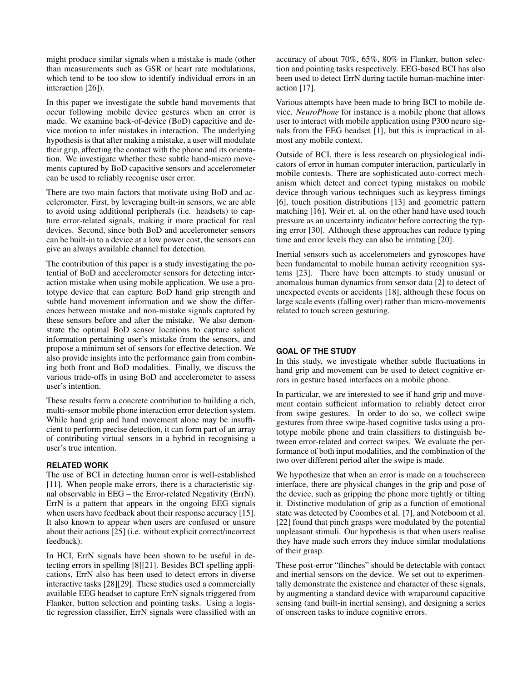might produce similar signals when a mistake is made (other than measurements such as GSR or heart rate modulations, which tend to be too slow to identify individual errors in an interaction [\[26\]](#page-12-2)).

In this paper we investigate the subtle hand movements that occur following mobile device gestures when an error is made. We examine back-of-device (BoD) capacitive and device motion to infer mistakes in interaction. The underlying hypothesis is that after making a mistake, a user will modulate their grip, affecting the contact with the phone and its orientation. We investigate whether these subtle hand-micro movements captured by BoD capacitive sensors and accelerometer can be used to reliably recognise user error.

There are two main factors that motivate using BoD and accelerometer. First, by leveraging built-in sensors, we are able to avoid using additional peripherals (i.e. headsets) to capture error-related signals, making it more practical for real devices. Second, since both BoD and accelerometer sensors can be built-in to a device at a low power cost, the sensors can give an always available channel for detection.

The contribution of this paper is a study investigating the potential of BoD and accelerometer sensors for detecting interaction mistake when using mobile application. We use a prototype device that can capture BoD hand grip strength and subtle hand movement information and we show the differences between mistake and non-mistake signals captured by these sensors before and after the mistake. We also demonstrate the optimal BoD sensor locations to capture salient information pertaining user's mistake from the sensors, and propose a minimum set of sensors for effective detection. We also provide insights into the performance gain from combining both front and BoD modalities. Finally, we discuss the various trade-offs in using BoD and accelerometer to assess user's intention.

These results form a concrete contribution to building a rich, multi-sensor mobile phone interaction error detection system. While hand grip and hand movement alone may be insufficient to perform precise detection, it can form part of an array of contributing virtual sensors in a hybrid in recognising a user's true intention.

### **RELATED WORK**

The use of BCI in detecting human error is well-established [\[11\]](#page-11-4). When people make errors, there is a characteristic signal observable in EEG – the Error-related Negativity (ErrN). ErrN is a pattern that appears in the ongoing EEG signals when users have feedback about their response accuracy [\[15\]](#page-11-5). It also known to appear when users are confused or unsure about their actions [\[25\]](#page-12-3) (i.e. without explicit correct/incorrect feedback).

In HCI, ErrN signals have been shown to be useful in detecting errors in spelling [\[8\]](#page-11-2)[\[21\]](#page-11-6). Besides BCI spelling applications, ErrN also has been used to detect errors in diverse interactive tasks [\[28\]](#page-12-0)[\[29\]](#page-12-1). These studies used a commercially available EEG headset to capture ErrN signals triggered from Flanker, button selection and pointing tasks. Using a logistic regression classifier, ErrN signals were classified with an

accuracy of about 70%, 65%, 80% in Flanker, button selection and pointing tasks respectively. EEG-based BCI has also been used to detect ErrN during tactile human-machine interaction [\[17\]](#page-11-7).

Various attempts have been made to bring BCI to mobile device. *NeuroPhone* for instance is a mobile phone that allows user to interact with mobile application using P300 neuro signals from the EEG headset [\[1\]](#page-11-8), but this is impractical in almost any mobile context.

Outside of BCI, there is less research on physiological indicators of error in human computer interaction, particularly in mobile contexts. There are sophisticated auto-correct mechanism which detect and correct typing mistakes on mobile device through various techniques such as keypress timings [\[6\]](#page-11-9), touch position distributions [\[13\]](#page-11-10) and geometric pattern matching [\[16\]](#page-11-11). Weir et. al. on the other hand have used touch pressure as an uncertainty indicator before correcting the typing error [\[30\]](#page-12-4). Although these approaches can reduce typing time and error levels they can also be irritating [\[20\]](#page-11-12).

Inertial sensors such as accelerometers and gyroscopes have been fundamental to mobile human activity recognition systems [\[23\]](#page-11-13). There have been attempts to study unusual or anomalous human dynamics from sensor data [\[2\]](#page-11-14) to detect of unexpected events or accidents [\[18\]](#page-11-15), although these focus on large scale events (falling over) rather than micro-movements related to touch screen gesturing.

### **GOAL OF THE STUDY**

In this study, we investigate whether subtle fluctuations in hand grip and movement can be used to detect cognitive errors in gesture based interfaces on a mobile phone.

In particular, we are interested to see if hand grip and movement contain sufficient information to reliably detect error from swipe gestures. In order to do so, we collect swipe gestures from three swipe-based cognitive tasks using a prototype mobile phone and train classifiers to distinguish between error-related and correct swipes. We evaluate the performance of both input modalities, and the combination of the two over different period after the swipe is made.

We hypothesize that when an error is made on a touchscreen interface, there are physical changes in the grip and pose of the device, such as gripping the phone more tightly or tilting it. Distinctive modulation of grip as a function of emotional state was detected by Coombes et al. [\[7\]](#page-11-16), and Noteboom et al. [\[22\]](#page-11-17) found that pinch grasps were modulated by the potential unpleasant stimuli. Our hypothesis is that when users realise they have made such errors they induce similar modulations of their grasp.

These post-error "flinches" should be detectable with contact and inertial sensors on the device. We set out to experimentally demonstrate the existence and character of these signals, by augmenting a standard device with wraparound capacitive sensing (and built-in inertial sensing), and designing a series of onscreen tasks to induce cognitive errors.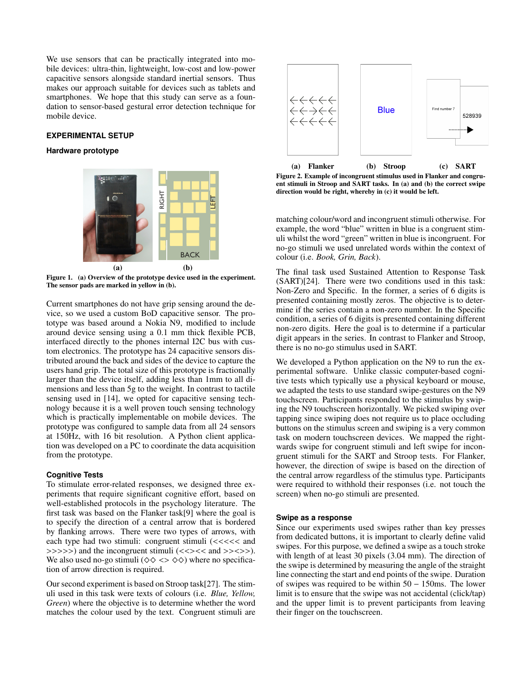We use sensors that can be practically integrated into mobile devices: ultra-thin, lightweight, low-cost and low-power capacitive sensors alongside standard inertial sensors. Thus makes our approach suitable for devices such as tablets and smartphones. We hope that this study can serve as a foundation to sensor-based gestural error detection technique for mobile device.

#### **EXPERIMENTAL SETUP**

### **Hardware prototype**



Figure 1. (a) Overview of the prototype device used in the experiment. The sensor pads are marked in yellow in (b).

Current smartphones do not have grip sensing around the device, so we used a custom BoD capacitive sensor. The prototype was based around a Nokia N9, modified to include around device sensing using a <sup>0</sup>.<sup>1</sup> mm thick flexible PCB, interfaced directly to the phones internal I2C bus with custom electronics. The prototype has 24 capacitive sensors distributed around the back and sides of the device to capture the users hand grip. The total size of this prototype is fractionally larger than the device itself, adding less than 1mm to all dimensions and less than 5g to the weight. In contrast to tactile sensing used in [\[14\]](#page-11-18), we opted for capacitive sensing technology because it is a well proven touch sensing technology which is practically implementable on mobile devices. The prototype was configured to sample data from all 24 sensors at 150Hz, with 16 bit resolution. A Python client application was developed on a PC to coordinate the data acquisition from the prototype.

#### **Cognitive Tests**

To stimulate error-related responses, we designed three experiments that require significant cognitive effort, based on well-established protocols in the psychology literature. The first task was based on the Flanker task[\[9\]](#page-11-19) where the goal is to specify the direction of a central arrow that is bordered by flanking arrows. There were two types of arrows, with each type had two stimuli: congruent stimuli  $\langle \langle \langle \langle \rangle \rangle \rangle$ >>>>>) and the incongruent stimuli (<<><< and >><>>). We also used no-go stimuli ( $\Diamond \Diamond \Diamond \Diamond \Diamond$ ) where no specification of arrow direction is required.

Our second experiment is based on Stroop task[\[27\]](#page-12-5). The stimuli used in this task were texts of colours (i.e. *Blue, Yellow, Green*) where the objective is to determine whether the word matches the colour used by the text. Congruent stimuli are



(a) Flanker (b) Stroop (c) SART Figure 2. Example of incongruent stimulus used in Flanker and congruent stimuli in Stroop and SART tasks. In (a) and (b) the correct swipe direction would be right, whereby in (c) it would be left.

matching colour/word and incongruent stimuli otherwise. For example, the word "blue" written in blue is a congruent stimuli whilst the word "green" written in blue is incongruent. For no-go stimuli we used unrelated words within the context of colour (i.e. *Book, Grin, Back*).

The final task used Sustained Attention to Response Task (SART)[\[24\]](#page-11-20). There were two conditions used in this task: Non-Zero and Specific. In the former, a series of 6 digits is presented containing mostly zeros. The objective is to determine if the series contain a non-zero number. In the Specific condition, a series of 6 digits is presented containing different non-zero digits. Here the goal is to determine if a particular digit appears in the series. In contrast to Flanker and Stroop, there is no no-go stimulus used in SART.

We developed a Python application on the N9 to run the experimental software. Unlike classic computer-based cognitive tests which typically use a physical keyboard or mouse, we adapted the tests to use standard swipe-gestures on the N9 touchscreen. Participants responded to the stimulus by swiping the N9 touchscreen horizontally. We picked swiping over tapping since swiping does not require us to place occluding buttons on the stimulus screen and swiping is a very common task on modern touchscreen devices. We mapped the rightwards swipe for congruent stimuli and left swipe for incongruent stimuli for the SART and Stroop tests. For Flanker, however, the direction of swipe is based on the direction of the central arrow regardless of the stimulus type. Participants were required to withhold their responses (i.e. not touch the screen) when no-go stimuli are presented.

#### **Swipe as a response**

Since our experiments used swipes rather than key presses from dedicated buttons, it is important to clearly define valid swipes. For this purpose, we defined a swipe as a touch stroke with length of at least <sup>30</sup> pixels (3.<sup>04</sup> mm). The direction of the swipe is determined by measuring the angle of the straight line connecting the start and end points of the swipe. Duration of swipes was required to be within 50 − 150ms. The lower limit is to ensure that the swipe was not accidental (click/tap) and the upper limit is to prevent participants from leaving their finger on the touchscreen.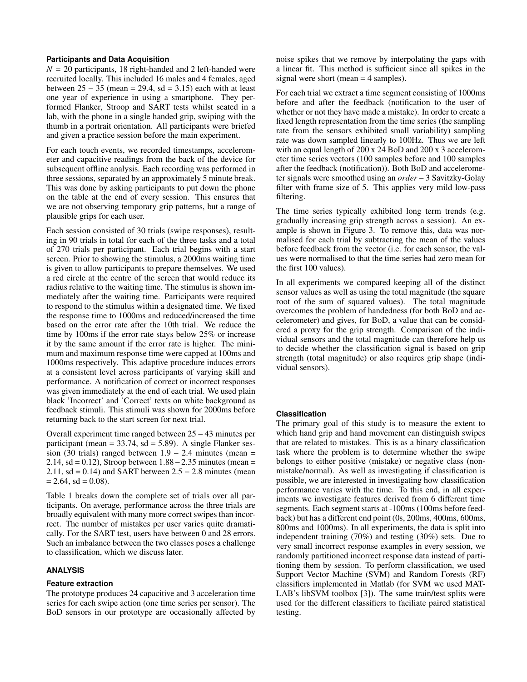#### **Participants and Data Acquisition**

 $N = 20$  participants, 18 right-handed and 2 left-handed were recruited locally. This included 16 males and 4 females, aged between  $25 - 35$  (mean = 29.4, sd = 3.15) each with at least one year of experience in using a smartphone. They performed Flanker, Stroop and SART tests whilst seated in a lab, with the phone in a single handed grip, swiping with the thumb in a portrait orientation. All participants were briefed and given a practice session before the main experiment.

For each touch events, we recorded timestamps, accelerometer and capacitive readings from the back of the device for subsequent offline analysis. Each recording was performed in three sessions, separated by an approximately 5 minute break. This was done by asking participants to put down the phone on the table at the end of every session. This ensures that we are not observing temporary grip patterns, but a range of plausible grips for each user.

Each session consisted of 30 trials (swipe responses), resulting in 90 trials in total for each of the three tasks and a total of 270 trials per participant. Each trial begins with a start screen. Prior to showing the stimulus, a 2000ms waiting time is given to allow participants to prepare themselves. We used a red circle at the centre of the screen that would reduce its radius relative to the waiting time. The stimulus is shown immediately after the waiting time. Participants were required to respond to the stimulus within a designated time. We fixed the response time to 1000ms and reduced/increased the time based on the error rate after the 10th trial. We reduce the time by 100ms if the error rate stays below 25% or increase it by the same amount if the error rate is higher. The minimum and maximum response time were capped at 100ms and 1000ms respectively. This adaptive procedure induces errors at a consistent level across participants of varying skill and performance. A notification of correct or incorrect responses was given immediately at the end of each trial. We used plain black 'Incorrect' and 'Correct' texts on white background as feedback stimuli. This stimuli was shown for 2000ms before returning back to the start screen for next trial.

Overall experiment time ranged between 25 − 43 minutes per participant (mean  $= 33.74$ , sd  $= 5.89$ ). A single Flanker session (30 trials) ranged between  $1.9 - 2.4$  minutes (mean = <sup>2</sup>.14, sd = <sup>0</sup>.12), Stroop between <sup>1</sup>.88−2.<sup>35</sup> minutes (mean = 2.11, sd =  $0.14$ ) and SART between  $2.5 - 2.8$  minutes (mean  $= 2.64$ , sd  $= 0.08$ ).

Table [1](#page-5-0) breaks down the complete set of trials over all participants. On average, performance across the three trials are broadly equivalent with many more correct swipes than incorrect. The number of mistakes per user varies quite dramatically. For the SART test, users have between 0 and 28 errors. Such an imbalance between the two classes poses a challenge to classification, which we discuss later.

#### **ANALYSIS**

#### **Feature extraction**

The prototype produces 24 capacitive and 3 acceleration time series for each swipe action (one time series per sensor). The BoD sensors in our prototype are occasionally affected by noise spikes that we remove by interpolating the gaps with a linear fit. This method is sufficient since all spikes in the signal were short (mean = 4 samples).

For each trial we extract a time segment consisting of 1000ms before and after the feedback (notification to the user of whether or not they have made a mistake). In order to create a fixed length representation from the time series (the sampling rate from the sensors exhibited small variability) sampling rate was down sampled linearly to 100Hz. Thus we are left with an equal length of 200 x 24 BoD and 200 x 3 accelerometer time series vectors (100 samples before and 100 samples after the feedback (notification)). Both BoD and accelerometer signals were smoothed using an *order* − 3 Savitzky-Golay filter with frame size of 5. This applies very mild low-pass filtering.

The time series typically exhibited long term trends (e.g. gradually increasing grip strength across a session). An example is shown in Figure [3.](#page-5-1) To remove this, data was normalised for each trial by subtracting the mean of the values before feedback from the vector (i.e. for each sensor, the values were normalised to that the time series had zero mean for the first 100 values).

In all experiments we compared keeping all of the distinct sensor values as well as using the total magnitude (the square root of the sum of squared values). The total magnitude overcomes the problem of handedness (for both BoD and accelerometer) and gives, for BoD, a value that can be considered a proxy for the grip strength. Comparison of the individual sensors and the total magnitude can therefore help us to decide whether the classification signal is based on grip strength (total magnitude) or also requires grip shape (individual sensors).

#### **Classification**

The primary goal of this study is to measure the extent to which hand grip and hand movement can distinguish swipes that are related to mistakes. This is as a binary classification task where the problem is to determine whether the swipe belongs to either positive (mistake) or negative class (nonmistake/normal). As well as investigating if classification is possible, we are interested in investigating how classification performance varies with the time. To this end, in all experiments we investigate features derived from 6 different time segments. Each segment starts at -100ms (100ms before feedback) but has a different end point (0s, 200ms, 400ms, 600ms, 800ms and 1000ms). In all experiments, the data is split into independent training (70%) and testing (30%) sets. Due to very small incorrect response examples in every session, we randomly partitioned incorrect response data instead of partitioning them by session. To perform classification, we used Support Vector Machine (SVM) and Random Forests (RF) classifiers implemented in Matlab (for SVM we used MAT-LAB's libSVM toolbox [\[3\]](#page-11-21)). The same train/test splits were used for the different classifiers to faciliate paired statistical testing.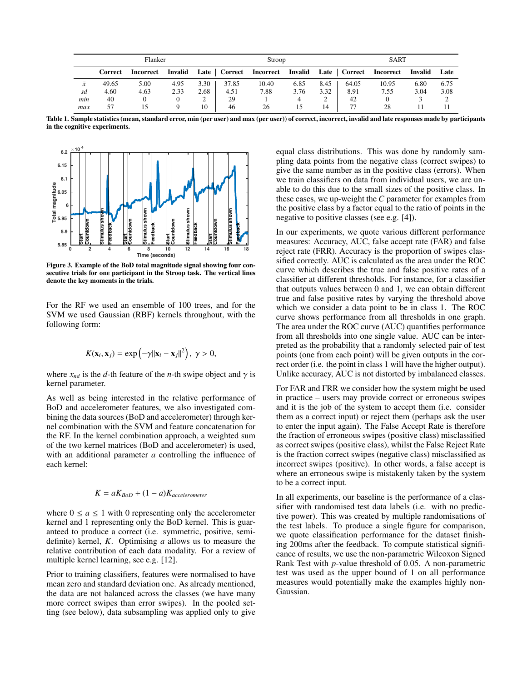|           | Flanker |           |         |      | Stroop |                                  |      |      | <b>SART</b>    |           |         |      |
|-----------|---------|-----------|---------|------|--------|----------------------------------|------|------|----------------|-----------|---------|------|
|           | Correct | Incorrect | Invalid |      |        | Late   Correct Incorrect Invalid |      |      | Late   Correct | Incorrect | Invalid | Late |
| $\bar{x}$ | 49.65   | 5.00      | 4.95    | 3.30 | 37.85  | 10.40                            | 6.85 | 8.45 | 64.05          | 10.95     | 6.80    | 6.75 |
| sd        | 4.60    | 4.63      | 2.33    | 2.68 | 4.51   | 7.88                             | 3.76 | 3.32 | 8.91           | 7.55      | 3.04    | 3.08 |
| min       | 40      |           | 0       |      | 29     |                                  |      |      | 42             | $\theta$  |         |      |
| max       | 57      | 15        |         | 10   | 46     | 26                               | 15   | 14   | 77             | 28        |         |      |

<span id="page-5-0"></span>Table 1. Sample statistics (mean, standard error, min (per user) and max (per user)) of correct, incorrect, invalid and late responses made by participants in the cognitive experiments.



<span id="page-5-1"></span>Figure 3. Example of the BoD total magnitude signal showing four consecutive trials for one participant in the Stroop task. The vertical lines denote the key moments in the trials.

For the RF we used an ensemble of 100 trees, and for the SVM we used Gaussian (RBF) kernels throughout, with the following form:

$$
K(\mathbf{x}_i, \mathbf{x}_j) = \exp\left(-\gamma ||\mathbf{x}_i - \mathbf{x}_j||^2\right), \ \gamma > 0,
$$

where  $x_{nd}$  is the *d*-th feature of the *n*-th swipe object and  $\gamma$  is kernel parameter.

As well as being interested in the relative performance of BoD and accelerometer features, we also investigated combining the data sources (BoD and accelerometer) through kernel combination with the SVM and feature concatenation for the RF. In the kernel combination approach, a weighted sum of the two kernel matrices (BoD and accelerometer) is used, with an additional parameter *a* controlling the influence of each kernel:

## $K = aK_{BoD} + (1 - a)K_{accelerometer}$

where  $0 \le a \le 1$  with 0 representing only the accelerometer kernel and 1 representing only the BoD kernel. This is guaranteed to produce a correct (i.e. symmetric, positive, semidefinite) kernel, *K*. Optimising *a* allows us to measure the relative contribution of each data modality. For a review of multiple kernel learning, see e.g. [\[12\]](#page-11-22).

Prior to training classifiers, features were normalised to have mean zero and standard deviation one. As already mentioned, the data are not balanced across the classes (we have many more correct swipes than error swipes). In the pooled setting (see below), data subsampling was applied only to give equal class distributions. This was done by randomly sampling data points from the negative class (correct swipes) to give the same number as in the positive class (errors). When we train classifiers on data from individual users, we are unable to do this due to the small sizes of the positive class. In these cases, we up-weight the *C* parameter for examples from the positive class by a factor equal to the ratio of points in the negative to positive classes (see e.g. [\[4\]](#page-11-23)).

In our experiments, we quote various different performance measures: Accuracy, AUC, false accept rate (FAR) and false reject rate (FRR). Accuracy is the proportion of swipes classified correctly. AUC is calculated as the area under the ROC curve which describes the true and false positive rates of a classifier at different thresholds. For instance, for a classifier that outputs values between 0 and 1, we can obtain different true and false positive rates by varying the threshold above which we consider a data point to be in class 1. The ROC curve shows performance from all thresholds in one graph. The area under the ROC curve (AUC) quantifies performance from all thresholds into one single value. AUC can be interpreted as the probability that a randomly selected pair of test points (one from each point) will be given outputs in the correct order (i.e. the point in class 1 will have the higher output). Unlike accuracy, AUC is not distorted by imbalanced classes.

For FAR and FRR we consider how the system might be used in practice – users may provide correct or erroneous swipes and it is the job of the system to accept them (i.e. consider them as a correct input) or reject them (perhaps ask the user to enter the input again). The False Accept Rate is therefore the fraction of erroneous swipes (positive class) misclassified as correct swipes (positive class), whilst the False Reject Rate is the fraction correct swipes (negative class) misclassified as incorrect swipes (positive). In other words, a false accept is where an erroneous swipe is mistakenly taken by the system to be a correct input.

In all experiments, our baseline is the performance of a classifier with randomised test data labels (i.e. with no predictive power). This was created by multiple randomisations of the test labels. To produce a single figure for comparison, we quote classification performance for the dataset finishing 200ms after the feedback. To compute statistical significance of results, we use the non-parametric Wilcoxon Signed Rank Test with *<sup>p</sup>*-value threshold of <sup>0</sup>.05. A non-parametric test was used as the upper bound of 1 on all performance measures would potentially make the examples highly non-Gaussian.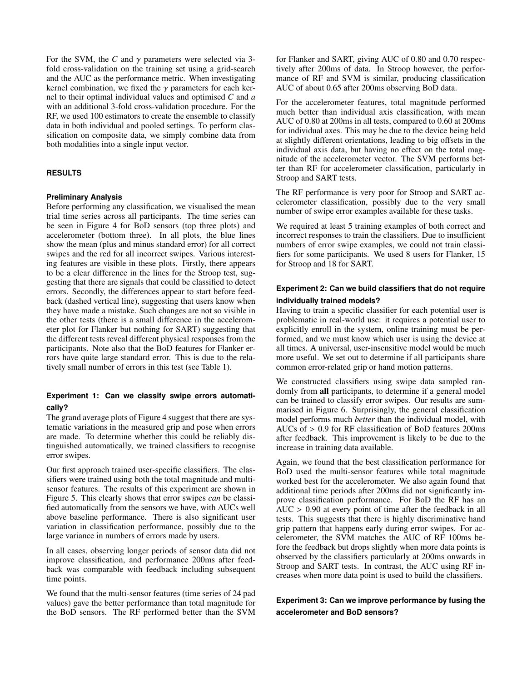For the SVM, the *C* and  $\gamma$  parameters were selected via 3fold cross-validation on the training set using a grid-search and the AUC as the performance metric. When investigating kernel combination, we fixed the  $\gamma$  parameters for each kernel to their optimal individual values and optimised *C* and *a* with an additional 3-fold cross-validation procedure. For the RF, we used 100 estimators to create the ensemble to classify data in both individual and pooled settings. To perform classification on composite data, we simply combine data from both modalities into a single input vector.

### **RESULTS**

### **Preliminary Analysis**

Before performing any classification, we visualised the mean trial time series across all participants. The time series can be seen in Figure [4](#page-7-0) for BoD sensors (top three plots) and accelerometer (bottom three). In all plots, the blue lines show the mean (plus and minus standard error) for all correct swipes and the red for all incorrect swipes. Various interesting features are visible in these plots. Firstly, there appears to be a clear difference in the lines for the Stroop test, suggesting that there are signals that could be classified to detect errors. Secondly, the differences appear to start before feedback (dashed vertical line), suggesting that users know when they have made a mistake. Such changes are not so visible in the other tests (there is a small difference in the accelerometer plot for Flanker but nothing for SART) suggesting that the different tests reveal different physical responses from the participants. Note also that the BoD features for Flanker errors have quite large standard error. This is due to the relatively small number of errors in this test (see Table [1\)](#page-5-0).

### **Experiment 1: Can we classify swipe errors automatically?**

The grand average plots of Figure [4](#page-7-0) suggest that there are systematic variations in the measured grip and pose when errors are made. To determine whether this could be reliably distinguished automatically, we trained classifiers to recognise error swipes.

Our first approach trained user-specific classifiers. The classifiers were trained using both the total magnitude and multisensor features. The results of this experiment are shown in Figure [5.](#page-8-0) This clearly shows that error swipes *can* be classified automatically from the sensors we have, with AUCs well above baseline performance. There is also significant user variation in classification performance, possibly due to the large variance in numbers of errors made by users.

In all cases, observing longer periods of sensor data did not improve classification, and performance 200ms after feedback was comparable with feedback including subsequent time points.

We found that the multi-sensor features (time series of 24 pad values) gave the better performance than total magnitude for the BoD sensors. The RF performed better than the SVM

for Flanker and SART, giving AUC of <sup>0</sup>.<sup>80</sup> and <sup>0</sup>.<sup>70</sup> respectively after 200ms of data. In Stroop however, the performance of RF and SVM is similar, producing classification AUC of about <sup>0</sup>.<sup>65</sup> after 200ms observing BoD data.

For the accelerometer features, total magnitude performed much better than individual axis classification, with mean AUC of <sup>0</sup>.<sup>80</sup> at 200ms in all tests, compared to <sup>0</sup>.<sup>60</sup> at 200ms for individual axes. This may be due to the device being held at slightly different orientations, leading to big offsets in the individual axis data, but having no effect on the total magnitude of the accelerometer vector. The SVM performs better than RF for accelerometer classification, particularly in Stroop and SART tests.

The RF performance is very poor for Stroop and SART accelerometer classification, possibly due to the very small number of swipe error examples available for these tasks.

We required at least 5 training examples of both correct and incorrect responses to train the classifiers. Due to insufficient numbers of error swipe examples, we could not train classifiers for some participants. We used 8 users for Flanker, 15 for Stroop and 18 for SART.

### **Experiment 2: Can we build classifiers that do not require individually trained models?**

Having to train a specific classifier for each potential user is problematic in real-world use: it requires a potential user to explicitly enroll in the system, online training must be performed, and we must know which user is using the device at all times. A universal, user-insensitive model would be much more useful. We set out to determine if all participants share common error-related grip or hand motion patterns.

We constructed classifiers using swipe data sampled randomly from all participants, to determine if a general model can be trained to classify error swipes. Our results are summarised in Figure [6.](#page-8-1) Surprisingly, the general classification model performs much *better* than the individual model, with AUCs of > <sup>0</sup>.<sup>9</sup> for RF classification of BoD features 200ms after feedback. This improvement is likely to be due to the increase in training data available.

Again, we found that the best classification performance for BoD used the multi-sensor features while total magnitude worked best for the accelerometer. We also again found that additional time periods after 200ms did not significantly improve classification performance. For BoD the RF has an  $AUC > 0.90$  at every point of time after the feedback in all tests. This suggests that there is highly discriminative hand grip pattern that happens early during error swipes. For accelerometer, the SVM matches the AUC of RF 100ms before the feedback but drops slightly when more data points is observed by the classifiers particularly at 200ms onwards in Stroop and SART tests. In contrast, the AUC using RF increases when more data point is used to build the classifiers.

### **Experiment 3: Can we improve performance by fusing the accelerometer and BoD sensors?**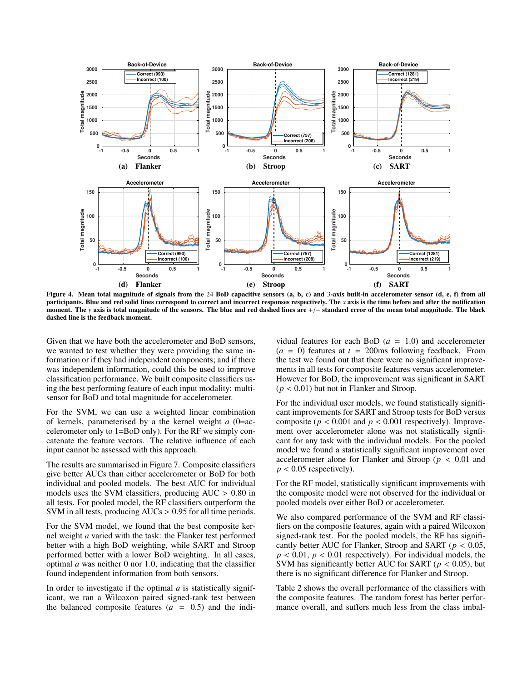

<span id="page-7-0"></span>Figure 4. Mean total magnitude of signals from the 24 BoD capacitive sensors (a, b, c) and 3-axis built-in accelerometer sensor (d, e, f) from all participants. Blue and red solid lines correspond to correct and incorrect responses respectively. The *x* axis is the time before and after the notification moment. The *<sup>y</sup>* axis is total magnitude of the sensors. The blue and red dashed lines are <sup>+</sup>/<sup>−</sup> standard error of the mean total magnitude. The black dashed line is the feedback moment.

Given that we have both the accelerometer and BoD sensors, we wanted to test whether they were providing the same information or if they had independent components; and if there was independent information, could this be used to improve classification performance. We built composite classifiers using the best performing feature of each input modality: multisensor for BoD and total magnitude for accelerometer.

For the SVM, we can use a weighted linear combination of kernels, parameterised by a the kernel weight *a* (0=accelerometer only to 1=BoD only). For the RF we simply concatenate the feature vectors. The relative influence of each input cannot be assessed with this approach.

The results are summarised in Figure [7.](#page-9-0) Composite classifiers give better AUCs than either accelerometer or BoD for both individual and pooled models. The best AUC for individual models uses the SVM classifiers, producing  $AUC > 0.80$  in all tests. For pooled model, the RF classifiers outperform the SVM in all tests, producing AUCs > <sup>0</sup>.<sup>95</sup> for all time periods.

For the SVM model, we found that the best composite kernel weight *a* varied with the task: the Flanker test performed better with a high BoD weighting, while SART and Stroop performed better with a lower BoD weighting. In all cases, optimal *<sup>a</sup>* was neither <sup>0</sup> nor <sup>1</sup>.0, indicating that the classifier found independent information from both sensors.

In order to investigate if the optimal *a* is statistically significant, we ran a Wilcoxon paired signed-rank test between the balanced composite features  $(a = 0.5)$  and the indi-

vidual features for each BoD  $(a = 1.0)$  and accelerometer  $(a = 0)$  features at  $t = 200$ ms following feedback. From the test we found out that there were no significant improvements in all tests for composite features versus accelerometer. However for BoD, the improvement was significant in SART  $(p < 0.01)$  but not in Flanker and Stroop.

For the individual user models, we found statistically significant improvements for SART and Stroop tests for BoD versus composite ( $p < 0.001$  and  $p < 0.001$  respectively). Improvement over accelerometer alone was not statistically signficant for any task with the individual models. For the pooled model we found a statistically significant improvement over accelerometer alone for Flanker and Stroop (*<sup>p</sup>* < <sup>0</sup>.<sup>01</sup> and  $p < 0.05$  respectively).

For the RF model, statistically significant improvements with the composite model were not observed for the individual or pooled models over either BoD or accelerometer.

We also compared performance of the SVM and RF classifiers on the composite features, again with a paired Wilcoxon signed-rank test. For the pooled models, the RF has significantly better AUC for Flanker, Stroop and SART (*<sup>p</sup>* < <sup>0</sup>.05,  $p < 0.01$ ,  $p < 0.01$  respectively). For individual models, the SVM has significantly better AUC for SART ( $p < 0.05$ ), but there is no significant difference for Flanker and Stroop.

Table [2](#page-9-1) shows the overall performance of the classifiers with the composite features. The random forest has better performance overall, and suffers much less from the class imbal-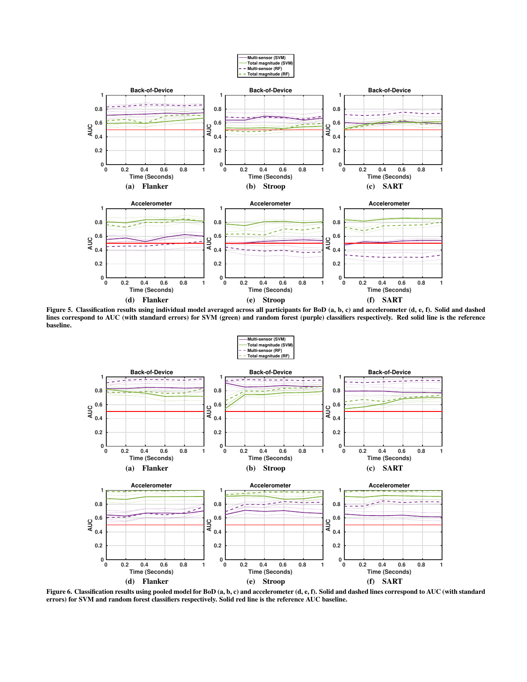

<span id="page-8-0"></span>Figure 5. Classification results using individual model averaged across all participants for BoD (a, b, c) and accelerometer (d, e, f). Solid and dashed lines correspond to AUC (with standard errors) for SVM (green) and random forest (purple) classifiers respectively. Red solid line is the reference baseline.



<span id="page-8-1"></span>Figure 6. Classification results using pooled model for BoD (a, b, c) and accelerometer (d, e, f). Solid and dashed lines correspond to AUC (with standard errors) for SVM and random forest classifiers respectively. Solid red line is the reference AUC baseline.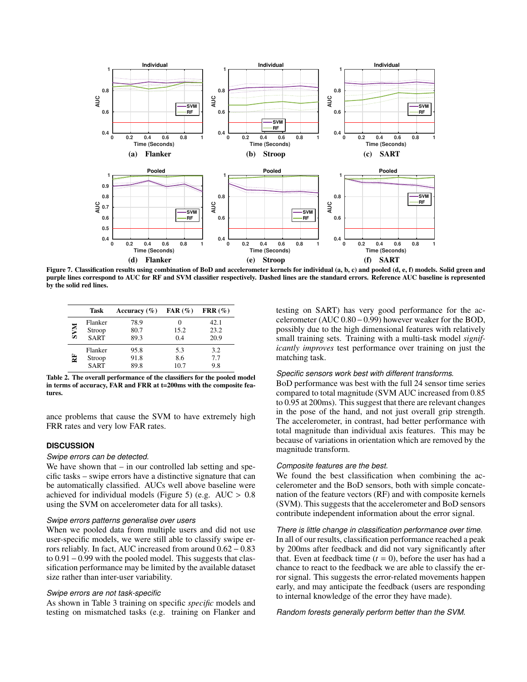

<span id="page-9-0"></span>Figure 7. Classification results using combination of BoD and accelerometer kernels for individual (a, b, c) and pooled (d, e, f) models. Solid green and purple lines correspond to AUC for RF and SVM classifier respectively. Dashed lines are the standard errors. Reference AUC baseline is represented by the solid red lines.

|            | Task                             | Accuracy $(\% )$     | $FAR(\%)$          | $\text{FRR}(\%)$     |
|------------|----------------------------------|----------------------|--------------------|----------------------|
| <b>NAS</b> | Flanker<br>Stroop<br><b>SART</b> | 78.9<br>80.7<br>89.3 | 15.2<br>0.4        | 42.1<br>23.2<br>20.9 |
| RF         | Flanker<br>Stroop<br><b>SART</b> | 95.8<br>91.8<br>89.8 | 5.3<br>8.6<br>10.7 | 3.2<br>7.7<br>9.8    |

<span id="page-9-1"></span>Table 2. The overall performance of the classifiers for the pooled model in terms of accuracy, FAR and FRR at t=200ms with the composite features.

ance problems that cause the SVM to have extremely high FRR rates and very low FAR rates.

#### **DISCUSSION**

#### *Swipe errors can be detected.*

We have shown that  $-$  in our controlled lab setting and specific tasks – swipe errors have a distinctive signature that can be automatically classified. AUCs well above baseline were achieved for individual models (Figure [5\)](#page-8-0) (e.g.  $AUC > 0.8$ using the SVM on accelerometer data for all tasks).

#### *Swipe errors patterns generalise over users*

When we pooled data from multiple users and did not use user-specific models, we were still able to classify swipe errors reliably. In fact, AUC increased from around <sup>0</sup>.<sup>62</sup> <sup>−</sup> <sup>0</sup>.<sup>83</sup> to <sup>0</sup>.91−0.<sup>99</sup> with the pooled model. This suggests that classification performance may be limited by the available dataset size rather than inter-user variability.

#### *Swipe errors are not task-specific*

As shown in Table [3](#page-10-0) training on specific *specific* models and testing on mismatched tasks (e.g. training on Flanker and testing on SART) has very good performance for the accelerometer (AUC <sup>0</sup>.80−0.99) however weaker for the BOD, possibly due to the high dimensional features with relatively small training sets. Training with a multi-task model *significantly improves* test performance over training on just the matching task.

#### *Specific sensors work best with different transforms.*

BoD performance was best with the full 24 sensor time series compared to total magnitude (SVM AUC increased from <sup>0</sup>.<sup>85</sup> to <sup>0</sup>.<sup>95</sup> at 200ms). This suggest that there are relevant changes in the pose of the hand, and not just overall grip strength. The accelerometer, in contrast, had better performance with total magnitude than individual axis features. This may be because of variations in orientation which are removed by the magnitude transform.

#### *Composite features are the best.*

We found the best classification when combining the accelerometer and the BoD sensors, both with simple concatenation of the feature vectors (RF) and with composite kernels (SVM). This suggests that the accelerometer and BoD sensors contribute independent information about the error signal.

# *There is little change in classification performance over time.*

In all of our results, classification performance reached a peak by 200ms after feedback and did not vary significantly after that. Even at feedback time  $(t = 0)$ , before the user has had a chance to react to the feedback we are able to classify the error signal. This suggests the error-related movements happen early, and may anticipate the feedback (users are responding to internal knowledge of the error they have made).

*Random forests generally perform better than the SVM.*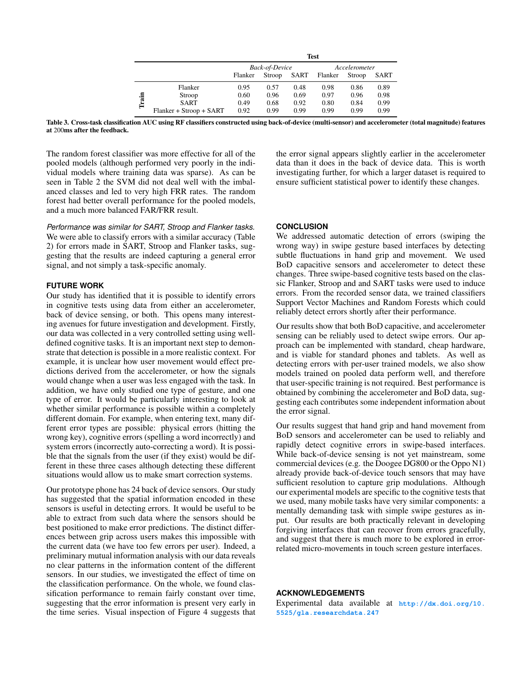|       |                         | <b>Test</b> |                       |      |               |        |             |  |  |
|-------|-------------------------|-------------|-----------------------|------|---------------|--------|-------------|--|--|
|       |                         |             | <b>Back-of-Device</b> |      | Accelerometer |        |             |  |  |
|       |                         | Flanker     | Stroop                | SART | Flanker       | Stroop | <b>SART</b> |  |  |
|       | Flanker                 | 0.95        | 0.57                  | 0.48 | 0.98          | 0.86   | 0.89        |  |  |
|       | Stroop                  | 0.60        | 0.96                  | 0.69 | 0.97          | 0.96   | 0.98        |  |  |
| Train | <b>SART</b>             | 0.49        | 0.68                  | 0.92 | 0.80          | 0.84   | 0.99        |  |  |
|       | Flanker + Stroop + SART | 0.92        | 0.99                  | 0.99 | 0.99          | 0.99   | 0.99        |  |  |

<span id="page-10-0"></span>Table 3. Cross-task classification AUC using RF classifiers constructed using back-of-device (multi-sensor) and accelerometer (total magnitude) features at 200ms after the feedback.

The random forest classifier was more effective for all of the pooled models (although performed very poorly in the individual models where training data was sparse). As can be seen in Table [2](#page-9-1) the SVM did not deal well with the imbalanced classes and led to very high FRR rates. The random forest had better overall performance for the pooled models, and a much more balanced FAR/FRR result.

*Performance was similar for SART, Stroop and Flanker tasks.* We were able to classify errors with a similar accuracy (Table [2\)](#page-9-1) for errors made in SART, Stroop and Flanker tasks, suggesting that the results are indeed capturing a general error signal, and not simply a task-specific anomaly.

#### **FUTURE WORK**

Our study has identified that it is possible to identify errors in cognitive tests using data from either an accelerometer, back of device sensing, or both. This opens many interesting avenues for future investigation and development. Firstly, our data was collected in a very controlled setting using welldefined cognitive tasks. It is an important next step to demonstrate that detection is possible in a more realistic context. For example, it is unclear how user movement would effect predictions derived from the accelerometer, or how the signals would change when a user was less engaged with the task. In addition, we have only studied one type of gesture, and one type of error. It would be particularly interesting to look at whether similar performance is possible within a completely different domain. For example, when entering text, many different error types are possible: physical errors (hitting the wrong key), cognitive errors (spelling a word incorrectly) and system errors (incorrectly auto-correcting a word). It is possible that the signals from the user (if they exist) would be different in these three cases although detecting these different situations would allow us to make smart correction systems.

Our prototype phone has 24 back of device sensors. Our study has suggested that the spatial information encoded in these sensors is useful in detecting errors. It would be useful to be able to extract from such data where the sensors should be best positioned to make error predictions. The distinct differences between grip across users makes this impossible with the current data (we have too few errors per user). Indeed, a preliminary mutual information analysis with our data reveals no clear patterns in the information content of the different sensors. In our studies, we investigated the effect of time on the classification performance. On the whole, we found classification performance to remain fairly constant over time, suggesting that the error information is present very early in the time series. Visual inspection of Figure [4](#page-7-0) suggests that the error signal appears slightly earlier in the accelerometer data than it does in the back of device data. This is worth investigating further, for which a larger dataset is required to ensure sufficient statistical power to identify these changes.

### **CONCLUSION**

We addressed automatic detection of errors (swiping the wrong way) in swipe gesture based interfaces by detecting subtle fluctuations in hand grip and movement. We used BoD capacitive sensors and accelerometer to detect these changes. Three swipe-based cognitive tests based on the classic Flanker, Stroop and and SART tasks were used to induce errors. From the recorded sensor data, we trained classifiers Support Vector Machines and Random Forests which could reliably detect errors shortly after their performance.

Our results show that both BoD capacitive, and accelerometer sensing can be reliably used to detect swipe errors. Our approach can be implemented with standard, cheap hardware, and is viable for standard phones and tablets. As well as detecting errors with per-user trained models, we also show models trained on pooled data perform well, and therefore that user-specific training is not required. Best performance is obtained by combining the accelerometer and BoD data, suggesting each contributes some independent information about the error signal.

Our results suggest that hand grip and hand movement from BoD sensors and accelerometer can be used to reliably and rapidly detect cognitive errors in swipe-based interfaces. While back-of-device sensing is not yet mainstream, some commercial devices (e.g. the Doogee DG800 or the Oppo N1) already provide back-of-device touch sensors that may have sufficient resolution to capture grip modulations. Although our experimental models are specific to the cognitive tests that we used, many mobile tasks have very similar components: a mentally demanding task with simple swipe gestures as input. Our results are both practically relevant in developing forgiving interfaces that can recover from errors gracefully, and suggest that there is much more to be explored in errorrelated micro-movements in touch screen gesture interfaces.

#### **ACKNOWLEDGEMENTS**

Experimental data available at **[http://dx.doi.org/10.](http://dx.doi.org/10.5525/gla.researchdata.247) [5525/gla.researchdata.247](http://dx.doi.org/10.5525/gla.researchdata.247)**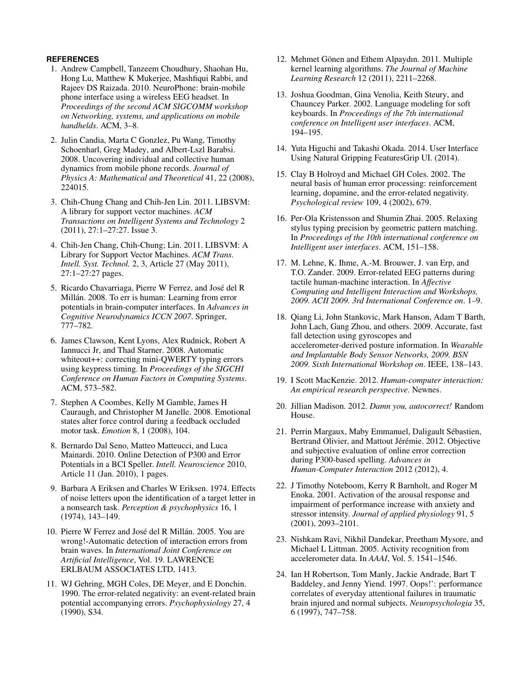### <span id="page-11-8"></span>**REFERENCES**

- 1. Andrew Campbell, Tanzeem Choudhury, Shaohan Hu, Hong Lu, Matthew K Mukerjee, Mashfiqui Rabbi, and Rajeev DS Raizada. 2010. NeuroPhone: brain-mobile phone interface using a wireless EEG headset. In *Proceedings of the second ACM SIGCOMM workshop on Networking, systems, and applications on mobile handhelds*. ACM, 3–8.
- <span id="page-11-14"></span>2. Julin Candia, Marta C Gonzlez, Pu Wang, Timothy Schoenharl, Greg Madey, and Albert-Lszl Barabsi. 2008. Uncovering individual and collective human dynamics from mobile phone records. *Journal of Physics A: Mathematical and Theoretical* 41, 22 (2008), 224015.
- <span id="page-11-21"></span>3. Chih-Chung Chang and Chih-Jen Lin. 2011. LIBSVM: A library for support vector machines. *ACM Transactions on Intelligent Systems and Technology* 2 (2011), 27:1–27:27. Issue 3.
- <span id="page-11-23"></span>4. Chih-Jen Chang, Chih-Chung; Lin. 2011. LIBSVM: A Library for Support Vector Machines. *ACM Trans. Intell. Syst. Technol.* 2, 3, Article 27 (May 2011), 27:1–27:27 pages.
- <span id="page-11-3"></span>5. Ricardo Chavarriaga, Pierre W Ferrez, and Jose del R ´ Millán. 2008. To err is human: Learning from error potentials in brain-computer interfaces. In *Advances in Cognitive Neurodynamics ICCN 2007*. Springer, 777–782.
- <span id="page-11-9"></span>6. James Clawson, Kent Lyons, Alex Rudnick, Robert A Iannucci Jr, and Thad Starner. 2008. Automatic whiteout++: correcting mini-QWERTY typing errors using keypress timing. In *Proceedings of the SIGCHI Conference on Human Factors in Computing Systems*. ACM, 573–582.
- <span id="page-11-16"></span>7. Stephen A Coombes, Kelly M Gamble, James H Cauraugh, and Christopher M Janelle. 2008. Emotional states alter force control during a feedback occluded motor task. *Emotion* 8, 1 (2008), 104.
- <span id="page-11-2"></span>8. Bernardo Dal Seno, Matteo Matteucci, and Luca Mainardi. 2010. Online Detection of P300 and Error Potentials in a BCI Speller. *Intell. Neuroscience* 2010, Article 11 (Jan. 2010), 1 pages.
- <span id="page-11-19"></span>9. Barbara A Eriksen and Charles W Eriksen. 1974. Effects of noise letters upon the identification of a target letter in a nonsearch task. *Perception & psychophysics* 16, 1 (1974), 143–149.
- <span id="page-11-1"></span>10. Pierre W Ferrez and José del R Millán. 2005. You are wrong!-Automatic detection of interaction errors from brain waves. In *International Joint Conference on Artificial Intelligence*, Vol. 19. LAWRENCE ERLBAUM ASSOCIATES LTD, 1413.
- <span id="page-11-4"></span>11. WJ Gehring, MGH Coles, DE Meyer, and E Donchin. 1990. The error-related negativity: an event-related brain potential accompanying errors. *Psychophysiology* 27, 4 (1990), S34.
- <span id="page-11-22"></span>12. Mehmet Gönen and Ethem Alpaydın. 2011. Multiple kernel learning algorithms. *The Journal of Machine Learning Research* 12 (2011), 2211–2268.
- <span id="page-11-10"></span>13. Joshua Goodman, Gina Venolia, Keith Steury, and Chauncey Parker. 2002. Language modeling for soft keyboards. In *Proceedings of the 7th international conference on Intelligent user interfaces*. ACM, 194–195.
- <span id="page-11-18"></span>14. Yuta Higuchi and Takashi Okada. 2014. User Interface Using Natural Gripping FeaturesGrip UI. (2014).
- <span id="page-11-5"></span>15. Clay B Holroyd and Michael GH Coles. 2002. The neural basis of human error processing: reinforcement learning, dopamine, and the error-related negativity. *Psychological review* 109, 4 (2002), 679.
- <span id="page-11-11"></span>16. Per-Ola Kristensson and Shumin Zhai. 2005. Relaxing stylus typing precision by geometric pattern matching. In *Proceedings of the 10th international conference on Intelligent user interfaces*. ACM, 151–158.
- <span id="page-11-7"></span>17. M. Lehne, K. Ihme, A.-M. Brouwer, J. van Erp, and T.O. Zander. 2009. Error-related EEG patterns during tactile human-machine interaction. In *Affective Computing and Intelligent Interaction and Workshops, 2009. ACII 2009. 3rd International Conference on*. 1–9.
- <span id="page-11-15"></span>18. Qiang Li, John Stankovic, Mark Hanson, Adam T Barth, John Lach, Gang Zhou, and others. 2009. Accurate, fast fall detection using gyroscopes and accelerometer-derived posture information. In *Wearable and Implantable Body Sensor Networks, 2009. BSN 2009. Sixth International Workshop on*. IEEE, 138–143.
- <span id="page-11-0"></span>19. I Scott MacKenzie. 2012. *Human-computer interaction: An empirical research perspective*. Newnes.
- <span id="page-11-12"></span>20. Jillian Madison. 2012. *Damn you, autocorrect!* Random House.
- <span id="page-11-6"></span>21. Perrin Margaux, Maby Emmanuel, Daligault Sebastien, ´ Bertrand Olivier, and Mattout Jérémie. 2012. Objective and subjective evaluation of online error correction during P300-based spelling. *Advances in Human-Computer Interaction* 2012 (2012), 4.
- <span id="page-11-17"></span>22. J Timothy Noteboom, Kerry R Barnholt, and Roger M Enoka. 2001. Activation of the arousal response and impairment of performance increase with anxiety and stressor intensity. *Journal of applied physiology* 91, 5 (2001), 2093–2101.
- <span id="page-11-13"></span>23. Nishkam Ravi, Nikhil Dandekar, Preetham Mysore, and Michael L Littman. 2005. Activity recognition from accelerometer data. In *AAAI*, Vol. 5. 1541–1546.
- <span id="page-11-20"></span>24. Ian H Robertson, Tom Manly, Jackie Andrade, Bart T Baddeley, and Jenny Yiend. 1997. Oops!': performance correlates of everyday attentional failures in traumatic brain injured and normal subjects. *Neuropsychologia* 35, 6 (1997), 747–758.